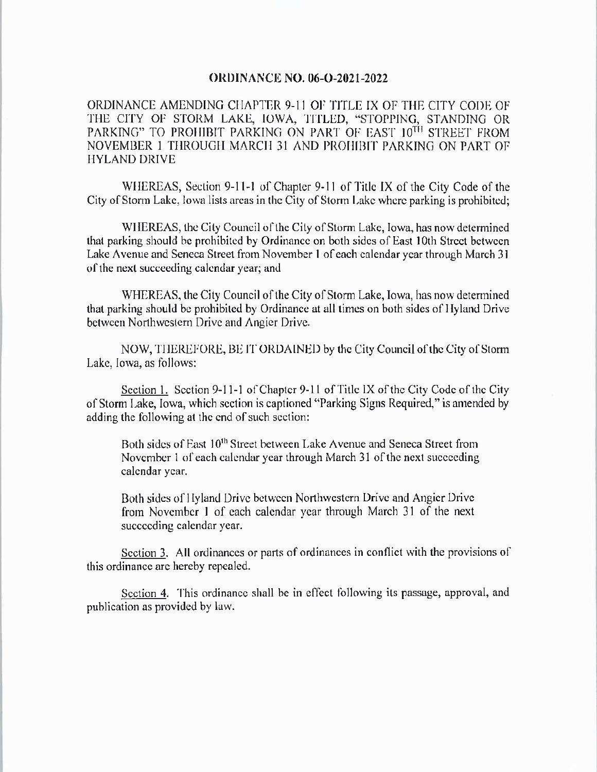## **ORDINANCE NO. 06-O-2021-2022**

ORDINANCE AMENDING CHAPTER 9- 11 OF TITLE LY OF THE CITY CODE OF THE CITY OF STORM LAKE, IOWA, TITLED, "STOPPING, STANDING OR PARKING" TO PROHIBIT PARKING ON PART OF EAST 10TH STREET FROM NOVEMBER <sup>1</sup> THROUGH MARCH 31 AND PROHIBIT PARKING ON PART OF HYLAND DRIVE

WHEREAS, Section 9-11-1 of Chapter 9-11 of Title IX of the City Code of the City of Storm Lake, Iowa lists areas in the City of Storm Lake where parking is prohibited;

WHEREAS, the City Council of the City of Storm Lake, Iowa, has now determined that parking should be prohibited by Ordinance on both sides of East 10th Street between Lake Avenue and Seneca Street from November <sup>1</sup> of each calendar year through March 31 of the next succeeding calendar year; and

WHEREAS, the City Council of the City of Storm Lake, Iowa, has now determined that parking should be prohibited by Ordinance at all times on both sides of Hyland Drive between Northwestern Drive and Angier Drive.

NOW, THEREFORE, BE IT ORDAINED by the City Council of the City of Storm Lake, Iowa, as follows:

Section 1. Section 9-11-1 of Chapter 9-11 of Title IX of the City Code of the City of Storm Lake, Iowa, which section is captioned "Parking Signs Required," is amended by adding the following at the end of such section:

Both sides of East 10<sup>th</sup> Street between Lake Avenue and Seneca Street from November <sup>1</sup> of each calendar year through March 31 of the next succeeding calendar year.

Both sides of Hyland Drive between Northwestern Drive and Angier Drive from November <sup>1</sup> of each calendar year through March 31 of the next succeeding calendar year.

Section 3. All ordinances or parts of ordinances in conflict with the provisions of this ordinance are hereby repealed.

Section 4. This ordinance shall be in effect following its passage, approval, and publication as provided by law.